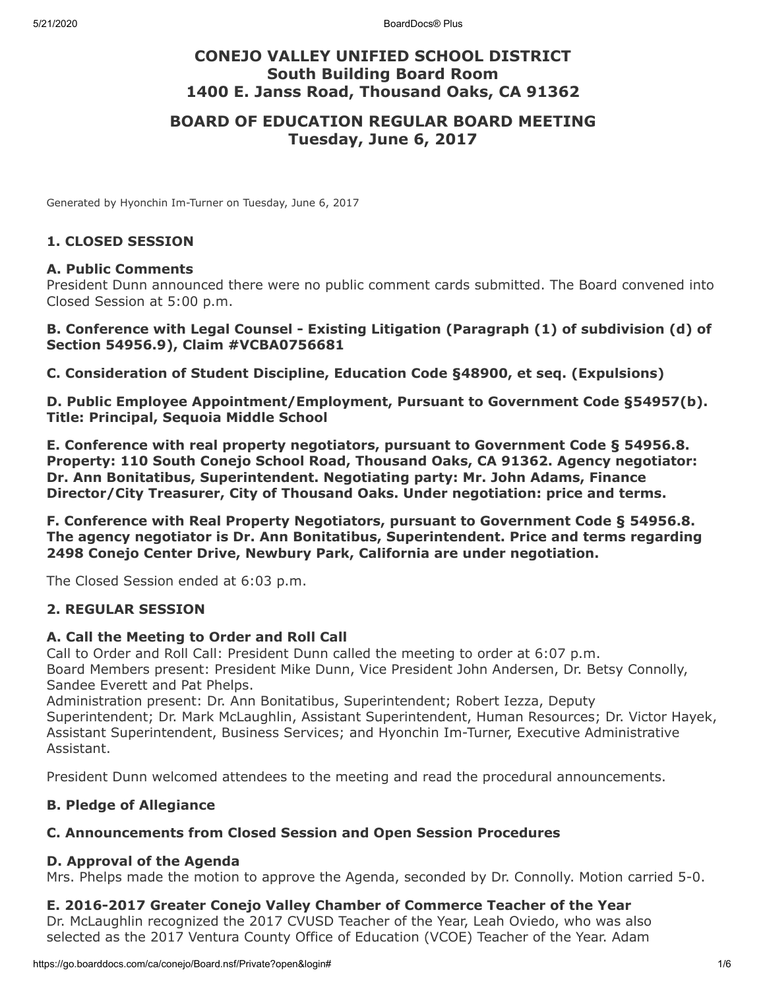# **CONEJO VALLEY UNIFIED SCHOOL DISTRICT South Building Board Room 1400 E. Janss Road, Thousand Oaks, CA 91362**

# **BOARD OF EDUCATION REGULAR BOARD MEETING Tuesday, June 6, 2017**

Generated by Hyonchin Im-Turner on Tuesday, June 6, 2017

#### **1. CLOSED SESSION**

#### **A. Public Comments**

President Dunn announced there were no public comment cards submitted. The Board convened into Closed Session at 5:00 p.m.

#### **B. Conference with Legal Counsel - Existing Litigation (Paragraph (1) of subdivision (d) of Section 54956.9), Claim #VCBA0756681**

**C. Consideration of Student Discipline, Education Code §48900, et seq. (Expulsions)**

**D. Public Employee Appointment/Employment, Pursuant to Government Code §54957(b). Title: Principal, Sequoia Middle School**

**E. Conference with real property negotiators, pursuant to Government Code § 54956.8. Property: 110 South Conejo School Road, Thousand Oaks, CA 91362. Agency negotiator: Dr. Ann Bonitatibus, Superintendent. Negotiating party: Mr. John Adams, Finance Director/City Treasurer, City of Thousand Oaks. Under negotiation: price and terms.**

**F. Conference with Real Property Negotiators, pursuant to Government Code § 54956.8. The agency negotiator is Dr. Ann Bonitatibus, Superintendent. Price and terms regarding 2498 Conejo Center Drive, Newbury Park, California are under negotiation.**

The Closed Session ended at 6:03 p.m.

### **2. REGULAR SESSION**

#### **A. Call the Meeting to Order and Roll Call**

Call to Order and Roll Call: President Dunn called the meeting to order at 6:07 p.m. Board Members present: President Mike Dunn, Vice President John Andersen, Dr. Betsy Connolly, Sandee Everett and Pat Phelps.

Administration present: Dr. Ann Bonitatibus, Superintendent; Robert Iezza, Deputy Superintendent; Dr. Mark McLaughlin, Assistant Superintendent, Human Resources; Dr. Victor Hayek, Assistant Superintendent, Business Services; and Hyonchin Im-Turner, Executive Administrative Assistant.

President Dunn welcomed attendees to the meeting and read the procedural announcements.

### **B. Pledge of Allegiance**

### **C. Announcements from Closed Session and Open Session Procedures**

#### **D. Approval of the Agenda**

Mrs. Phelps made the motion to approve the Agenda, seconded by Dr. Connolly. Motion carried 5-0.

### **E. 2016-2017 Greater Conejo Valley Chamber of Commerce Teacher of the Year**

Dr. McLaughlin recognized the 2017 CVUSD Teacher of the Year, Leah Oviedo, who was also selected as the 2017 Ventura County Office of Education (VCOE) Teacher of the Year. Adam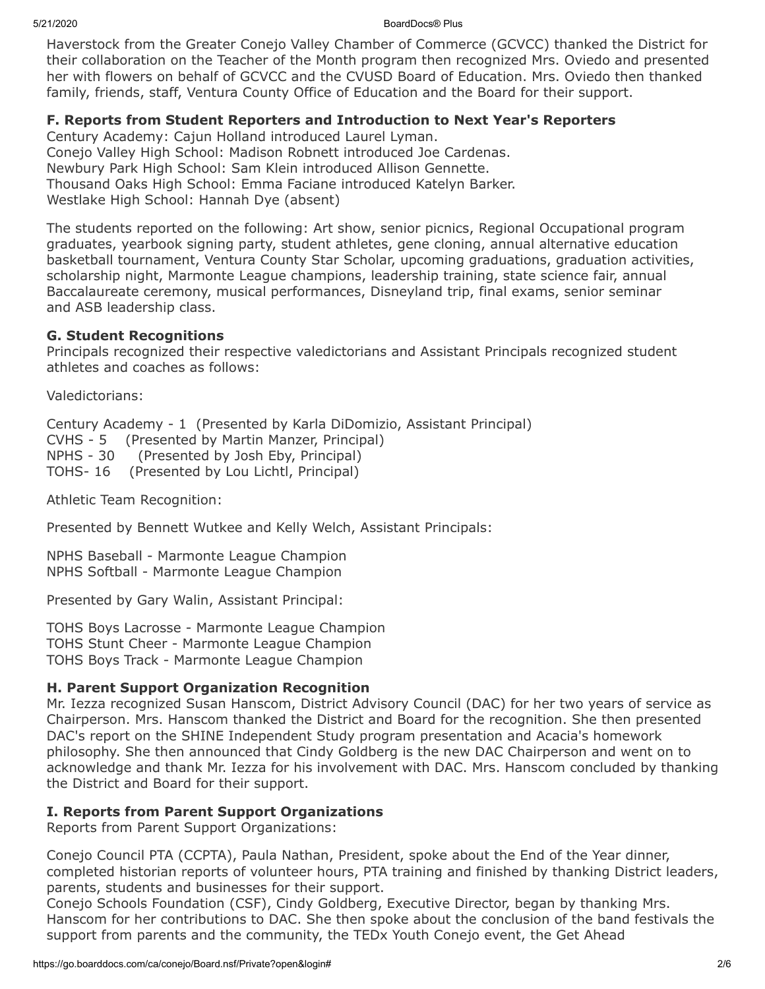5/21/2020 BoardDocs® Plus

Haverstock from the Greater Conejo Valley Chamber of Commerce (GCVCC) thanked the District for their collaboration on the Teacher of the Month program then recognized Mrs. Oviedo and presented her with flowers on behalf of GCVCC and the CVUSD Board of Education. Mrs. Oviedo then thanked family, friends, staff, Ventura County Office of Education and the Board for their support.

### **F. Reports from Student Reporters and Introduction to Next Year's Reporters**

Century Academy: Cajun Holland introduced Laurel Lyman. Conejo Valley High School: Madison Robnett introduced Joe Cardenas. Newbury Park High School: Sam Klein introduced Allison Gennette. Thousand Oaks High School: Emma Faciane introduced Katelyn Barker. Westlake High School: Hannah Dye (absent)

The students reported on the following: Art show, senior picnics, Regional Occupational program graduates, yearbook signing party, student athletes, gene cloning, annual alternative education basketball tournament, Ventura County Star Scholar, upcoming graduations, graduation activities, scholarship night, Marmonte League champions, leadership training, state science fair, annual Baccalaureate ceremony, musical performances, Disneyland trip, final exams, senior seminar and ASB leadership class.

### **G. Student Recognitions**

Principals recognized their respective valedictorians and Assistant Principals recognized student athletes and coaches as follows:

Valedictorians:

Century Academy - 1 (Presented by Karla DiDomizio, Assistant Principal) CVHS - 5 (Presented by Martin Manzer, Principal) NPHS - 30 (Presented by Josh Eby, Principal) TOHS- 16 (Presented by Lou Lichtl, Principal)

Athletic Team Recognition:

Presented by Bennett Wutkee and Kelly Welch, Assistant Principals:

NPHS Baseball - Marmonte League Champion NPHS Softball - Marmonte League Champion

Presented by Gary Walin, Assistant Principal:

TOHS Boys Lacrosse - Marmonte League Champion TOHS Stunt Cheer - Marmonte League Champion TOHS Boys Track - Marmonte League Champion

### **H. Parent Support Organization Recognition**

Mr. Iezza recognized Susan Hanscom, District Advisory Council (DAC) for her two years of service as Chairperson. Mrs. Hanscom thanked the District and Board for the recognition. She then presented DAC's report on the SHINE Independent Study program presentation and Acacia's homework philosophy. She then announced that Cindy Goldberg is the new DAC Chairperson and went on to acknowledge and thank Mr. Iezza for his involvement with DAC. Mrs. Hanscom concluded by thanking the District and Board for their support.

### **I. Reports from Parent Support Organizations**

Reports from Parent Support Organizations:

Conejo Council PTA (CCPTA), Paula Nathan, President, spoke about the End of the Year dinner, completed historian reports of volunteer hours, PTA training and finished by thanking District leaders, parents, students and businesses for their support.

Conejo Schools Foundation (CSF), Cindy Goldberg, Executive Director, began by thanking Mrs. Hanscom for her contributions to DAC. She then spoke about the conclusion of the band festivals the support from parents and the community, the TEDx Youth Conejo event, the Get Ahead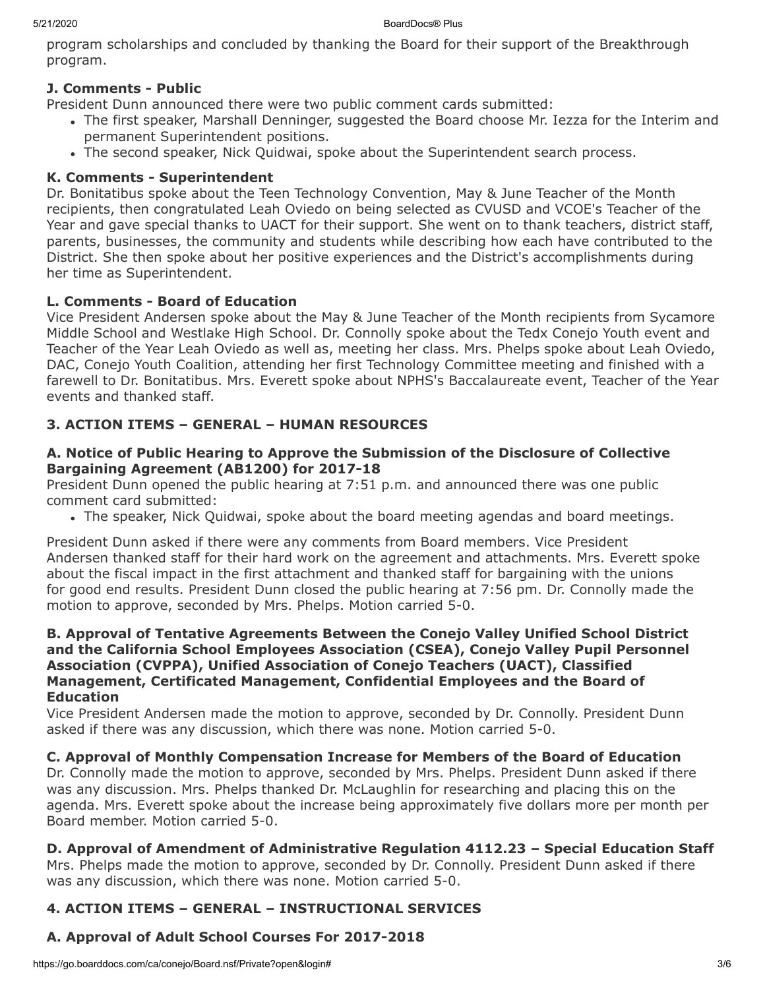program scholarships and concluded by thanking the Board for their support of the Breakthrough program.

## **J. Comments - Public**

President Dunn announced there were two public comment cards submitted:

- The first speaker, Marshall Denninger, suggested the Board choose Mr. Iezza for the Interim and permanent Superintendent positions.
- The second speaker, Nick Quidwai, spoke about the Superintendent search process.

### **K. Comments - Superintendent**

Dr. Bonitatibus spoke about the Teen Technology Convention, May & June Teacher of the Month recipients, then congratulated Leah Oviedo on being selected as CVUSD and VCOE's Teacher of the Year and gave special thanks to UACT for their support. She went on to thank teachers, district staff, parents, businesses, the community and students while describing how each have contributed to the District. She then spoke about her positive experiences and the District's accomplishments during her time as Superintendent.

### **L. Comments - Board of Education**

Vice President Andersen spoke about the May & June Teacher of the Month recipients from Sycamore Middle School and Westlake High School. Dr. Connolly spoke about the Tedx Conejo Youth event and Teacher of the Year Leah Oviedo as well as, meeting her class. Mrs. Phelps spoke about Leah Oviedo, DAC, Conejo Youth Coalition, attending her first Technology Committee meeting and finished with a farewell to Dr. Bonitatibus. Mrs. Everett spoke about NPHS's Baccalaureate event, Teacher of the Year events and thanked staff.

# **3. ACTION ITEMS – GENERAL – HUMAN RESOURCES**

### **A. Notice of Public Hearing to Approve the Submission of the Disclosure of Collective Bargaining Agreement (AB1200) for 2017-18**

President Dunn opened the public hearing at 7:51 p.m. and announced there was one public comment card submitted:

The speaker, Nick Quidwai, spoke about the board meeting agendas and board meetings.

President Dunn asked if there were any comments from Board members. Vice President Andersen thanked staff for their hard work on the agreement and attachments. Mrs. Everett spoke about the fiscal impact in the first attachment and thanked staff for bargaining with the unions for good end results. President Dunn closed the public hearing at 7:56 pm. Dr. Connolly made the motion to approve, seconded by Mrs. Phelps. Motion carried 5-0.

#### **B. Approval of Tentative Agreements Between the Conejo Valley Unified School District and the California School Employees Association (CSEA), Conejo Valley Pupil Personnel Association (CVPPA), Unified Association of Conejo Teachers (UACT), Classified Management, Certificated Management, Confidential Employees and the Board of Education**

Vice President Andersen made the motion to approve, seconded by Dr. Connolly. President Dunn asked if there was any discussion, which there was none. Motion carried 5-0.

## **C. Approval of Monthly Compensation Increase for Members of the Board of Education**

Dr. Connolly made the motion to approve, seconded by Mrs. Phelps. President Dunn asked if there was any discussion. Mrs. Phelps thanked Dr. McLaughlin for researching and placing this on the agenda. Mrs. Everett spoke about the increase being approximately five dollars more per month per Board member. Motion carried 5-0.

## **D. Approval of Amendment of Administrative Regulation 4112.23 – Special Education Staff**

Mrs. Phelps made the motion to approve, seconded by Dr. Connolly. President Dunn asked if there was any discussion, which there was none. Motion carried 5-0.

# **4. ACTION ITEMS – GENERAL – INSTRUCTIONAL SERVICES**

# **A. Approval of Adult School Courses For 2017-2018**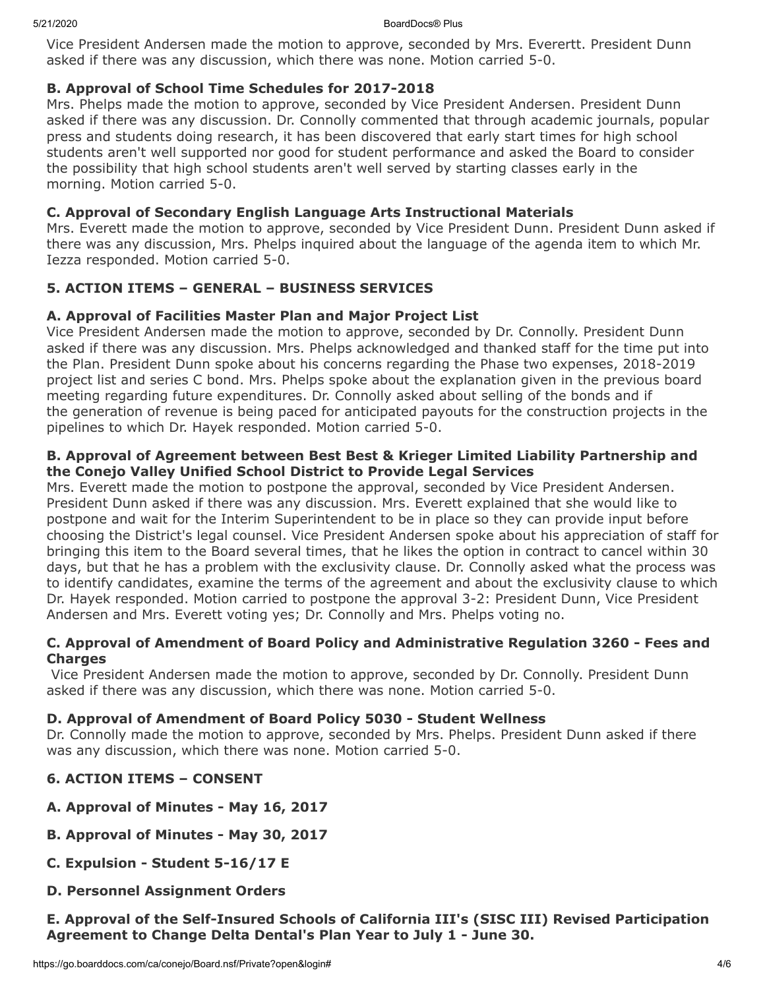Vice President Andersen made the motion to approve, seconded by Mrs. Everertt. President Dunn asked if there was any discussion, which there was none. Motion carried 5-0.

### **B. Approval of School Time Schedules for 2017-2018**

Mrs. Phelps made the motion to approve, seconded by Vice President Andersen. President Dunn asked if there was any discussion. Dr. Connolly commented that through academic journals, popular press and students doing research, it has been discovered that early start times for high school students aren't well supported nor good for student performance and asked the Board to consider the possibility that high school students aren't well served by starting classes early in the morning. Motion carried 5-0.

### **C. Approval of Secondary English Language Arts Instructional Materials**

Mrs. Everett made the motion to approve, seconded by Vice President Dunn. President Dunn asked if there was any discussion, Mrs. Phelps inquired about the language of the agenda item to which Mr. Iezza responded. Motion carried 5-0.

## **5. ACTION ITEMS – GENERAL – BUSINESS SERVICES**

### **A. Approval of Facilities Master Plan and Major Project List**

Vice President Andersen made the motion to approve, seconded by Dr. Connolly. President Dunn asked if there was any discussion. Mrs. Phelps acknowledged and thanked staff for the time put into the Plan. President Dunn spoke about his concerns regarding the Phase two expenses, 2018-2019 project list and series C bond. Mrs. Phelps spoke about the explanation given in the previous board meeting regarding future expenditures. Dr. Connolly asked about selling of the bonds and if the generation of revenue is being paced for anticipated payouts for the construction projects in the pipelines to which Dr. Hayek responded. Motion carried 5-0.

### **B. Approval of Agreement between Best Best & Krieger Limited Liability Partnership and the Conejo Valley Unified School District to Provide Legal Services**

Mrs. Everett made the motion to postpone the approval, seconded by Vice President Andersen. President Dunn asked if there was any discussion. Mrs. Everett explained that she would like to postpone and wait for the Interim Superintendent to be in place so they can provide input before choosing the District's legal counsel. Vice President Andersen spoke about his appreciation of staff for bringing this item to the Board several times, that he likes the option in contract to cancel within 30 days, but that he has a problem with the exclusivity clause. Dr. Connolly asked what the process was to identify candidates, examine the terms of the agreement and about the exclusivity clause to which Dr. Hayek responded. Motion carried to postpone the approval 3-2: President Dunn, Vice President Andersen and Mrs. Everett voting yes; Dr. Connolly and Mrs. Phelps voting no.

### **C. Approval of Amendment of Board Policy and Administrative Regulation 3260 - Fees and Charges**

 Vice President Andersen made the motion to approve, seconded by Dr. Connolly. President Dunn asked if there was any discussion, which there was none. Motion carried 5-0.

### **D. Approval of Amendment of Board Policy 5030 - Student Wellness**

Dr. Connolly made the motion to approve, seconded by Mrs. Phelps. President Dunn asked if there was any discussion, which there was none. Motion carried 5-0.

## **6. ACTION ITEMS – CONSENT**

- **A. Approval of Minutes May 16, 2017**
- **B. Approval of Minutes May 30, 2017**
- **C. Expulsion Student 5-16/17 E**
- **D. Personnel Assignment Orders**

**E. Approval of the Self-Insured Schools of California III's (SISC III) Revised Participation Agreement to Change Delta Dental's Plan Year to July 1 - June 30.**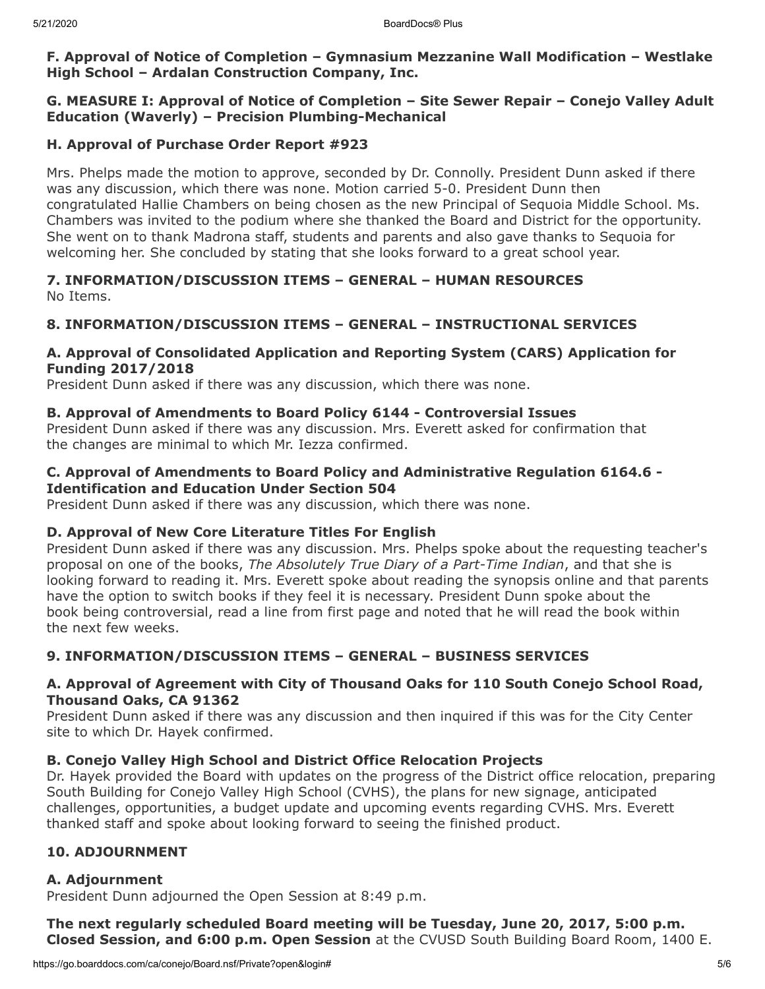#### **F. Approval of Notice of Completion – Gymnasium Mezzanine Wall Modification – Westlake High School – Ardalan Construction Company, Inc.**

### **G. MEASURE I: Approval of Notice of Completion – Site Sewer Repair – Conejo Valley Adult Education (Waverly) – Precision Plumbing-Mechanical**

### **H. Approval of Purchase Order Report #923**

Mrs. Phelps made the motion to approve, seconded by Dr. Connolly. President Dunn asked if there was any discussion, which there was none. Motion carried 5-0. President Dunn then congratulated Hallie Chambers on being chosen as the new Principal of Sequoia Middle School. Ms. Chambers was invited to the podium where she thanked the Board and District for the opportunity. She went on to thank Madrona staff, students and parents and also gave thanks to Sequoia for welcoming her. She concluded by stating that she looks forward to a great school year.

### **7. INFORMATION/DISCUSSION ITEMS – GENERAL – HUMAN RESOURCES** No Items.

## **8. INFORMATION/DISCUSSION ITEMS – GENERAL – INSTRUCTIONAL SERVICES**

### **A. Approval of Consolidated Application and Reporting System (CARS) Application for Funding 2017/2018**

President Dunn asked if there was any discussion, which there was none.

### **B. Approval of Amendments to Board Policy 6144 - Controversial Issues**

President Dunn asked if there was any discussion. Mrs. Everett asked for confirmation that the changes are minimal to which Mr. Iezza confirmed.

#### **C. Approval of Amendments to Board Policy and Administrative Regulation 6164.6 - Identification and Education Under Section 504**

President Dunn asked if there was any discussion, which there was none.

### **D. Approval of New Core Literature Titles For English**

President Dunn asked if there was any discussion. Mrs. Phelps spoke about the requesting teacher's proposal on one of the books, *The Absolutely True Diary of a Part-Time Indian*, and that she is looking forward to reading it. Mrs. Everett spoke about reading the synopsis online and that parents have the option to switch books if they feel it is necessary. President Dunn spoke about the book being controversial, read a line from first page and noted that he will read the book within the next few weeks.

## **9. INFORMATION/DISCUSSION ITEMS – GENERAL – BUSINESS SERVICES**

### **A. Approval of Agreement with City of Thousand Oaks for 110 South Conejo School Road, Thousand Oaks, CA 91362**

President Dunn asked if there was any discussion and then inquired if this was for the City Center site to which Dr. Hayek confirmed.

### **B. Conejo Valley High School and District Office Relocation Projects**

Dr. Hayek provided the Board with updates on the progress of the District office relocation, preparing South Building for Conejo Valley High School (CVHS), the plans for new signage, anticipated challenges, opportunities, a budget update and upcoming events regarding CVHS. Mrs. Everett thanked staff and spoke about looking forward to seeing the finished product.

## **10. ADJOURNMENT**

### **A. Adjournment**

President Dunn adjourned the Open Session at 8:49 p.m.

**The next regularly scheduled Board meeting will be Tuesday, June 20, 2017, 5:00 p.m. Closed Session, and 6:00 p.m. Open Session** at the CVUSD South Building Board Room, 1400 E.